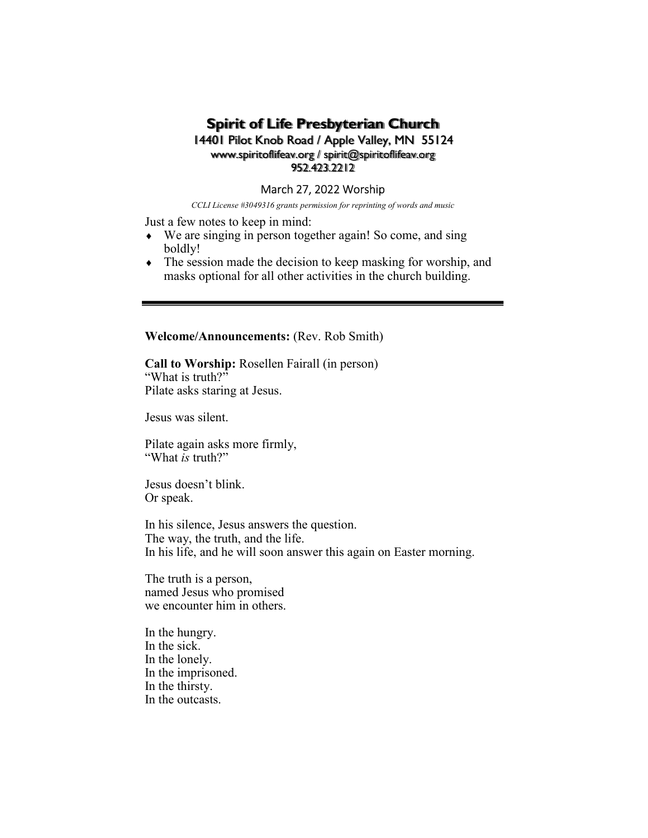# Spirit of Life Presbyterian Church

# 14401 Pilot Knob Road / Apple Valley, MN 55124 www.spiritoflifeav.org / spirit@spiritoflifeav.org 952.423.2212

# March 27, 2022 Worship

CCLI License #3049316 grants permission for reprinting of words and music

Just a few notes to keep in mind:

- $\bullet$  We are singing in person together again! So come, and sing boldly!
- The session made the decision to keep masking for worship, and masks optional for all other activities in the church building.

## Welcome/Announcements: (Rev. Rob Smith)

Call to Worship: Rosellen Fairall (in person) "What is truth?" Pilate asks staring at Jesus.

Jesus was silent.

Pilate again asks more firmly, "What is truth?"

Jesus doesn't blink. Or speak.

In his silence, Jesus answers the question. The way, the truth, and the life. In his life, and he will soon answer this again on Easter morning.

The truth is a person, named Jesus who promised we encounter him in others.

In the hungry. In the sick. In the lonely. In the imprisoned. In the thirsty. In the outcasts.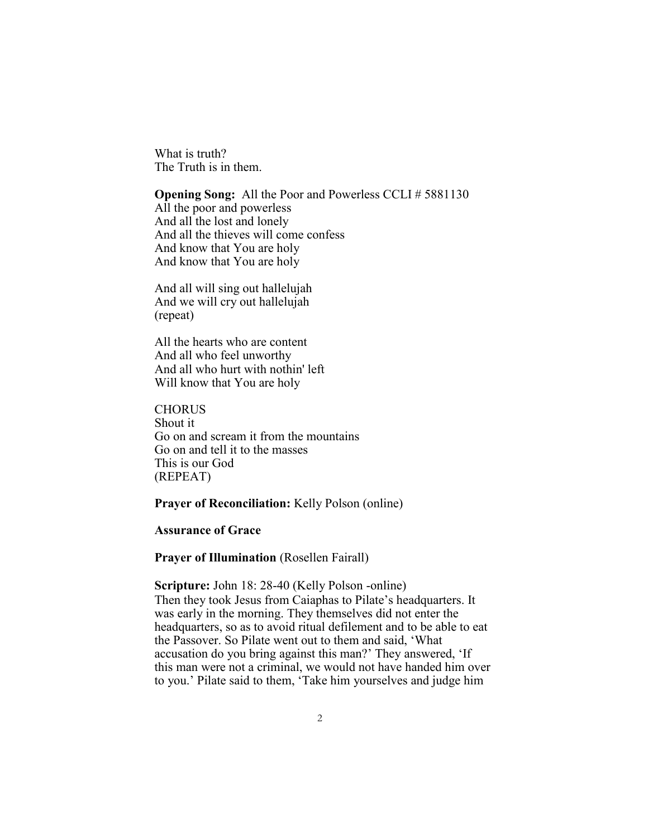What is truth? The Truth is in them.

# **Opening Song:** All the Poor and Powerless CCLI # 5881130

All the poor and powerless And all the lost and lonely And all the thieves will come confess And know that You are holy And know that You are holy

And all will sing out hallelujah And we will cry out hallelujah (repeat)

All the hearts who are content And all who feel unworthy And all who hurt with nothin' left Will know that You are holy

**CHORUS** Shout it Go on and scream it from the mountains Go on and tell it to the masses This is our God (REPEAT)

# Prayer of Reconciliation: Kelly Polson (online)

# Assurance of Grace

### Prayer of Illumination (Rosellen Fairall)

Scripture: John 18: 28-40 (Kelly Polson -online) Then they took Jesus from Caiaphas to Pilate's headquarters. It was early in the morning. They themselves did not enter the headquarters, so as to avoid ritual defilement and to be able to eat the Passover. So Pilate went out to them and said, 'What accusation do you bring against this man?' They answered, 'If this man were not a criminal, we would not have handed him over to you.' Pilate said to them, 'Take him yourselves and judge him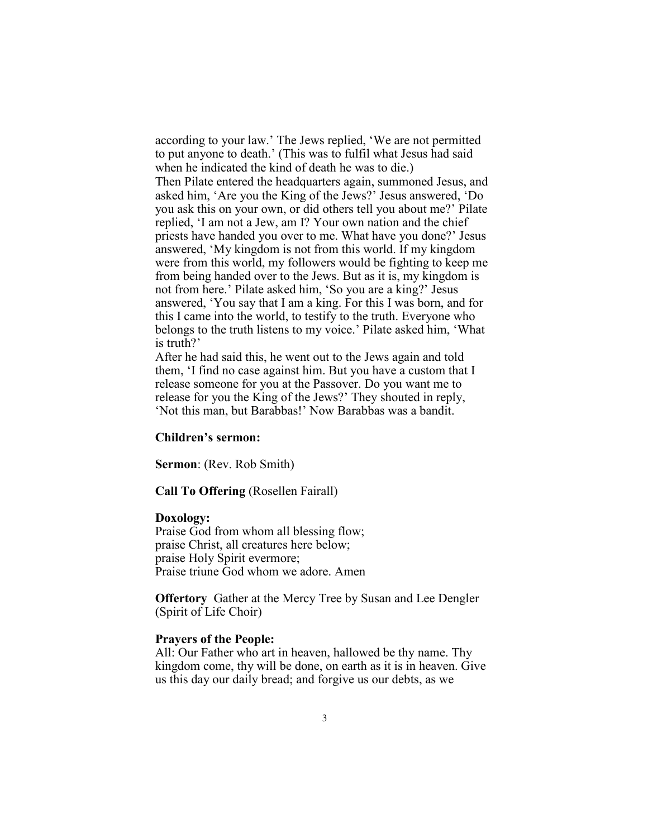according to your law.' The Jews replied, 'We are not permitted to put anyone to death.' (This was to fulfil what Jesus had said when he indicated the kind of death he was to die.) Then Pilate entered the headquarters again, summoned Jesus, and asked him, 'Are you the King of the Jews?' Jesus answered, 'Do you ask this on your own, or did others tell you about me?' Pilate replied, 'I am not a Jew, am I? Your own nation and the chief priests have handed you over to me. What have you done?' Jesus answered, 'My kingdom is not from this world. If my kingdom were from this world, my followers would be fighting to keep me from being handed over to the Jews. But as it is, my kingdom is not from here.' Pilate asked him, 'So you are a king?' Jesus answered, 'You say that I am a king. For this I was born, and for this I came into the world, to testify to the truth. Everyone who belongs to the truth listens to my voice.' Pilate asked him, 'What is truth?'

After he had said this, he went out to the Jews again and told them, 'I find no case against him. But you have a custom that I release someone for you at the Passover. Do you want me to release for you the King of the Jews?' They shouted in reply, 'Not this man, but Barabbas!' Now Barabbas was a bandit.

### Children's sermon:

Sermon: (Rev. Rob Smith)

Call To Offering (Rosellen Fairall)

### Doxology:

Praise God from whom all blessing flow; praise Christ, all creatures here below; praise Holy Spirit evermore; Praise triune God whom we adore. Amen

Offertory Gather at the Mercy Tree by Susan and Lee Dengler (Spirit of Life Choir)

#### Prayers of the People:

All: Our Father who art in heaven, hallowed be thy name. Thy kingdom come, thy will be done, on earth as it is in heaven. Give us this day our daily bread; and forgive us our debts, as we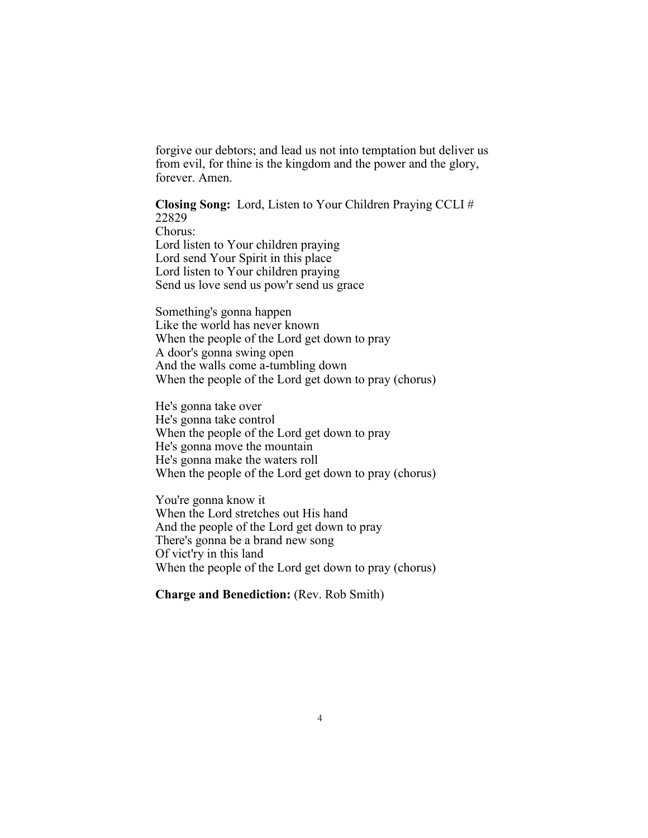forgive our debtors; and lead us not into temptation but deliver us from evil, for thine is the kingdom and the power and the glory, forever. Amen.

Closing Song: Lord, Listen to Your Children Praying CCLI # 22829 Chorus: Lord listen to Your children praying Lord send Your Spirit in this place Lord listen to Your children praying Send us love send us pow'r send us grace

Something's gonna happen Like the world has never known When the people of the Lord get down to pray A door's gonna swing open And the walls come a-tumbling down When the people of the Lord get down to pray (chorus)

He's gonna take over He's gonna take control When the people of the Lord get down to pray He's gonna move the mountain He's gonna make the waters roll When the people of the Lord get down to pray (chorus)

You're gonna know it When the Lord stretches out His hand And the people of the Lord get down to pray There's gonna be a brand new song Of vict'ry in this land When the people of the Lord get down to pray (chorus)

# Charge and Benediction: (Rev. Rob Smith)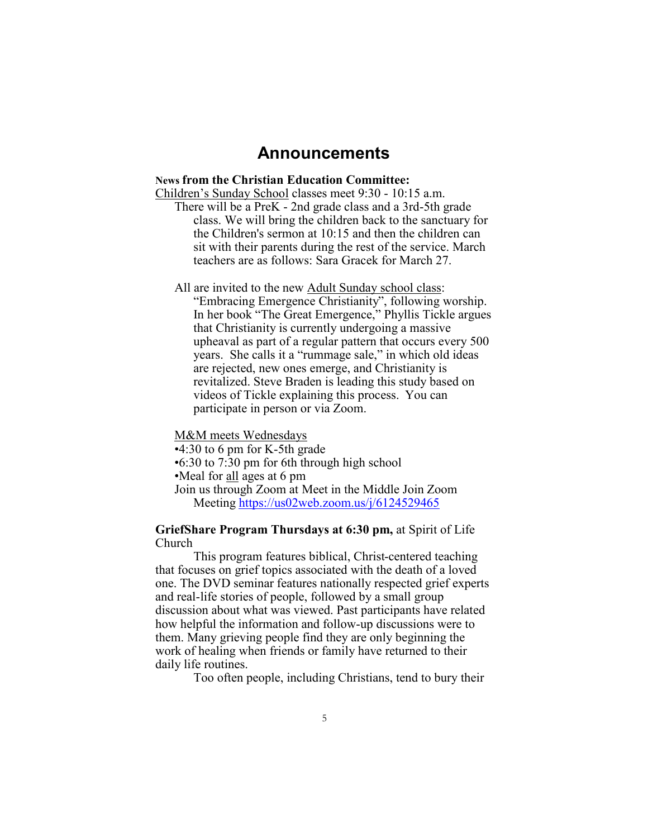# Announcements

## News from the Christian Education Committee:

Children's Sunday School classes meet 9:30 - 10:15 a.m.

There will be a PreK - 2nd grade class and a 3rd-5th grade class. We will bring the children back to the sanctuary for the Children's sermon at 10:15 and then the children can sit with their parents during the rest of the service. March teachers are as follows: Sara Gracek for March 27.

All are invited to the new Adult Sunday school class: "Embracing Emergence Christianity", following worship. In her book "The Great Emergence," Phyllis Tickle argues that Christianity is currently undergoing a massive upheaval as part of a regular pattern that occurs every 500 years. She calls it a "rummage sale," in which old ideas are rejected, new ones emerge, and Christianity is revitalized. Steve Braden is leading this study based on videos of Tickle explaining this process. You can participate in person or via Zoom.

### M&M meets Wednesdays

•4:30 to 6 pm for K-5th grade •6:30 to 7:30 pm for 6th through high school •Meal for <u>all</u> ages at 6 pm Join us through Zoom at Meet in the Middle Join Zoom Meeting https://us02web.zoom.us/j/6124529465

### GriefShare Program Thursdays at 6:30 pm, at Spirit of Life Church

This program features biblical, Christ-centered teaching that focuses on grief topics associated with the death of a loved one. The DVD seminar features nationally respected grief experts and real-life stories of people, followed by a small group discussion about what was viewed. Past participants have related how helpful the information and follow-up discussions were to them. Many grieving people find they are only beginning the work of healing when friends or family have returned to their daily life routines.

Too often people, including Christians, tend to bury their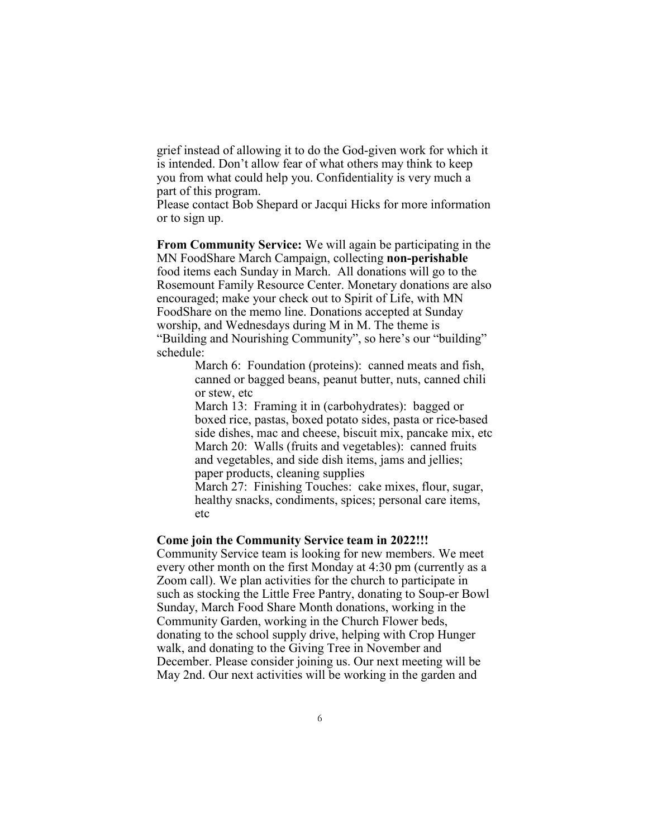grief instead of allowing it to do the God-given work for which it is intended. Don't allow fear of what others may think to keep you from what could help you. Confidentiality is very much a part of this program.

Please contact Bob Shepard or Jacqui Hicks for more information or to sign up.

From Community Service: We will again be participating in the MN FoodShare March Campaign, collecting non-perishable food items each Sunday in March. All donations will go to the Rosemount Family Resource Center. Monetary donations are also encouraged; make your check out to Spirit of Life, with MN FoodShare on the memo line. Donations accepted at Sunday worship, and Wednesdays during M in M. The theme is "Building and Nourishing Community", so here's our "building" schedule:

March 6: Foundation (proteins): canned meats and fish, canned or bagged beans, peanut butter, nuts, canned chili or stew, etc

March 13: Framing it in (carbohydrates): bagged or boxed rice, pastas, boxed potato sides, pasta or rice-based side dishes, mac and cheese, biscuit mix, pancake mix, etc March 20: Walls (fruits and vegetables): canned fruits and vegetables, and side dish items, jams and jellies; paper products, cleaning supplies

March 27: Finishing Touches: cake mixes, flour, sugar, healthy snacks, condiments, spices; personal care items, etc

### Come join the Community Service team in 2022!!!

Community Service team is looking for new members. We meet every other month on the first Monday at 4:30 pm (currently as a Zoom call). We plan activities for the church to participate in such as stocking the Little Free Pantry, donating to Soup-er Bowl Sunday, March Food Share Month donations, working in the Community Garden, working in the Church Flower beds, donating to the school supply drive, helping with Crop Hunger walk, and donating to the Giving Tree in November and December. Please consider joining us. Our next meeting will be May 2nd. Our next activities will be working in the garden and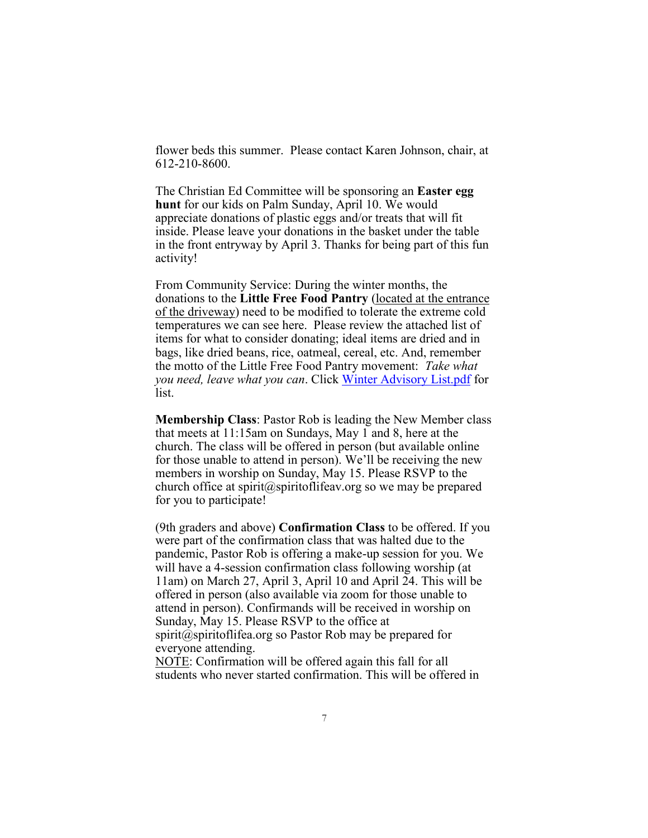flower beds this summer. Please contact Karen Johnson, chair, at 612-210-8600.

The Christian Ed Committee will be sponsoring an Easter egg hunt for our kids on Palm Sunday, April 10. We would appreciate donations of plastic eggs and/or treats that will fit inside. Please leave your donations in the basket under the table in the front entryway by April 3. Thanks for being part of this fun activity!

From Community Service: During the winter months, the donations to the Little Free Food Pantry (located at the entrance of the driveway) need to be modified to tolerate the extreme cold temperatures we can see here. Please review the attached list of items for what to consider donating; ideal items are dried and in bags, like dried beans, rice, oatmeal, cereal, etc. And, remember the motto of the Little Free Food Pantry movement: Take what you need, leave what you can. Click Winter Advisory List.pdf for list.

Membership Class: Pastor Rob is leading the New Member class that meets at 11:15am on Sundays, May 1 and 8, here at the church. The class will be offered in person (but available online for those unable to attend in person). We'll be receiving the new members in worship on Sunday, May 15. Please RSVP to the church office at spirit@spiritoflifeav.org so we may be prepared for you to participate!

(9th graders and above) Confirmation Class to be offered. If you were part of the confirmation class that was halted due to the pandemic, Pastor Rob is offering a make-up session for you. We will have a 4-session confirmation class following worship (at 11am) on March 27, April 3, April 10 and April 24. This will be offered in person (also available via zoom for those unable to attend in person). Confirmands will be received in worship on Sunday, May 15. Please RSVP to the office at spirit@spiritoflifea.org so Pastor Rob may be prepared for everyone attending. NOTE: Confirmation will be offered again this fall for all

students who never started confirmation. This will be offered in